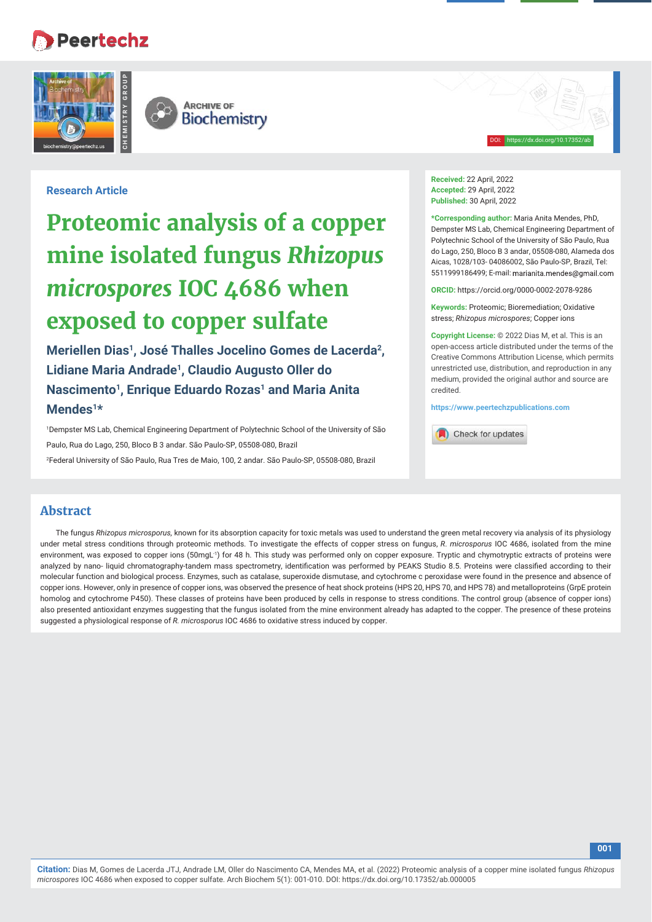# **Peertechz**



DOI: https://dx.doi.org/10.17352/ab

#### **Research Article**

# **Proteomic analysis of a copper mine isolated fungus** *Rhizopus microspores* **IOC 4686 when exposed to copper sulfate**

**Meriellen Dias1, José Thalles Jocelino Gomes de Lacerda2, Lidiane Maria Andrade1, Claudio Augusto Oller do Nascimento1, Enrique Eduardo Rozas1 and Maria Anita Mendes1\***

1 Dempster MS Lab, Chemical Engineering Department of Polytechnic School of the University of São Paulo, Rua do Lago, 250, Bloco B 3 andar. São Paulo-SP, 05508-080, Brazil 2 Federal University of São Paulo, Rua Tres de Maio, 100, 2 andar. São Paulo-SP, 05508-080, Brazil

**Received:** 22 April, 2022 **Accepted:** 29 April, 2022 **Published:** 30 April, 2022

**\*Corresponding author:** Maria Anita Mendes, PhD, Dempster MS Lab, Chemical Engineering Department of Polytechnic School of the University of São Paulo, Rua do Lago, 250, Bloco B 3 andar, 05508-080, Alameda dos Aicas, 1028/103- 04086002, São Paulo-SP, Brazil, Tel: 5511999186499; E-mail:

**ORCID:** https://orcid.org/0000-0002-2078-9286

**Keywords:** Proteomic; Bioremediation; Oxidative stress; *Rhizopus microspores*; Copper ions

**Copyright License:** © 2022 Dias M, et al. This is an open-access article distributed under the terms of the Creative Commons Attribution License, which permits unrestricted use, distribution, and reproduction in any medium, provided the original author and source are credited.

**https://www.peertechzpublications.com**

Check for updates

### **Abstract**

The fungus *Rhizopus microsporus,* known for its absorption capacity for toxic metals was used to understand the green metal recovery via analysis of its physiology under metal stress conditions through proteomic methods. To investigate the effects of copper stress on fungus, *R*. *microsporus* IOC 4686, isolated from the mine environment, was exposed to copper ions (50mgL<sup>-1</sup>) for 48 h. This study was performed only on copper exposure. Tryptic and chymotryptic extracts of proteins were analyzed by nano- liquid chromatography-tandem mass spectrometry, identification was performed by PEAKS Studio 8.5. Proteins were classified according to their molecular function and biological process. Enzymes, such as catalase, superoxide dismutase, and cytochrome c peroxidase were found in the presence and absence of copper ions. However, only in presence of copper ions, was observed the presence of heat shock proteins (HPS 20, HPS 70, and HPS 78) and metalloproteins (GrpE protein homolog and cytochrome P450). These classes of proteins have been produced by cells in response to stress conditions. The control group (absence of copper ions) also presented antioxidant enzymes suggesting that the fungus isolated from the mine environment already has adapted to the copper. The presence of these proteins suggested a physiological response of *R. microsporus* IOC 4686 to oxidative stress induced by copper.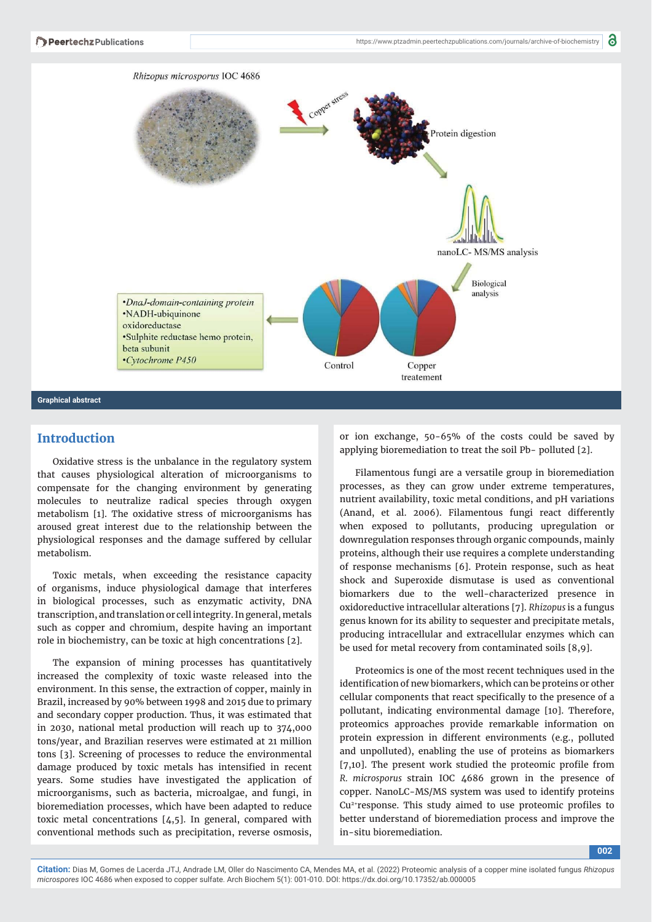

## **Introduction**

Oxidative stress is the unbalance in the regulatory system that causes physiological alteration of microorganisms to compensate for the changing environment by generating molecules to neutralize radical species through oxygen metabolism [1]. The oxidative stress of microorganisms has aroused great interest due to the relationship between the physiological responses and the damage suffered by cellular metabolism.

Toxic metals, when exceeding the resistance capacity of organisms, induce physiological damage that interferes in biological processes, such as enzymatic activity, DNA transcription, and translation or cell integrity. In general, metals such as copper and chromium, despite having an important role in biochemistry, can be toxic at high concentrations [2].

The expansion of mining processes has quantitatively increased the complexity of toxic waste released into the environment. In this sense, the extraction of copper, mainly in Brazil, increased by 90% between 1998 and 2015 due to primary and secondary copper production. Thus, it was estimated that in 2030, national metal production will reach up to 374,000 tons/year, and Brazilian reserves were estimated at 21 million tons [3]. Screening of processes to reduce the environmental damage produced by toxic metals has intensified in recent years. Some studies have investigated the application of microorganisms, such as bacteria, microalgae, and fungi, in bioremediation processes, which have been adapted to reduce toxic metal concentrations [4,5]. In general, compared with conventional methods such as precipitation, reverse osmosis,

or ion exchange, 50-65% of the costs could be saved by applying bioremediation to treat the soil Pb- polluted [2].

Filamentous fungi are a versatile group in bioremediation processes, as they can grow under extreme temperatures, nutrient availability, toxic metal conditions, and pH variations (Anand, et al. 2006). Filamentous fungi react differently when exposed to pollutants, producing upregulation or downregulation responses through organic compounds, mainly proteins, although their use requires a complete understanding of response mechanisms [6]. Protein response, such as heat shock and Superoxide dismutase is used as conventional biomarkers due to the well-characterized presence in oxidoreductive intracellular alterations [7]. *Rhizopus* is a fungus genus known for its ability to sequester and precipitate metals, producing intracellular and extracellular enzymes which can be used for metal recovery from contaminated soils [8,9].

Proteomics is one of the most recent techniques used in the identification of new biomarkers, which can be proteins or other cellular components that react specifically to the presence of a pollutant, indicating environmental damage [10]. Therefore, proteomics approaches provide remarkable information on protein expression in different environments (e.g., polluted and unpolluted), enabling the use of proteins as biomarkers  $[7,10]$ . The present work studied the proteomic profile from *R. microsporus* strain IOC 4686 grown in the presence of copper. NanoLC-MS/MS system was used to identify proteins  $Cu<sup>2+</sup>$  response. This study aimed to use proteomic profiles to better understand of bioremediation process and improve the in-situ bioremediation.

**002**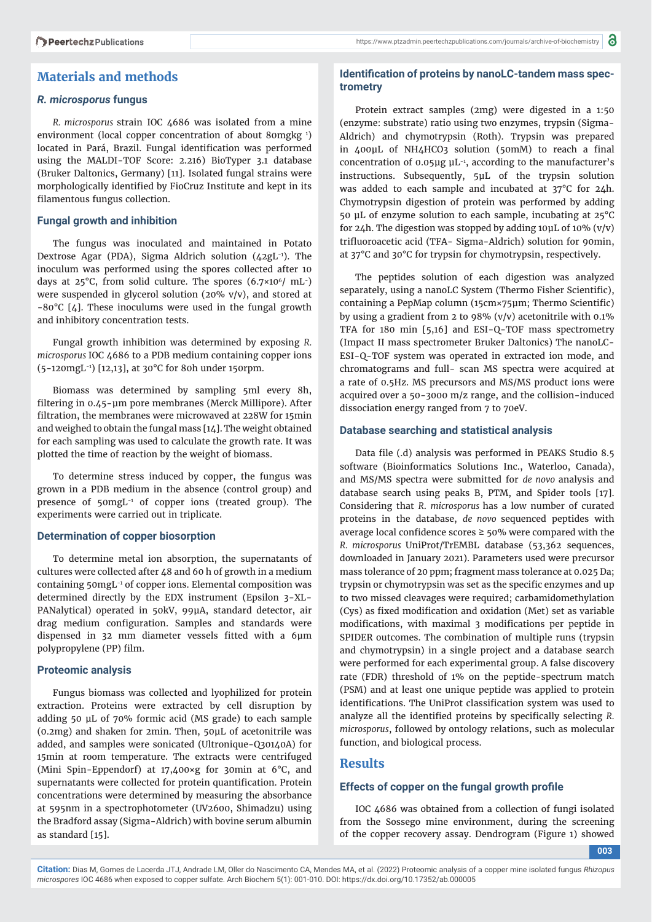### **Materials and methods**

#### *R. microsporus* **fungus**

*R. microsporus* strain IOC 4686 was isolated from a mine environment (local copper concentration of about 80mgkg 1 ) located in Pará, Brazil. Fungal identification was performed using the MALDI-TOF Score: 2.216) BioTyper 3.1 database (Bruker Daltonics, Germany) [11]. Isolated fungal strains were morphologically identified by FioCruz Institute and kept in its filamentous fungus collection.

#### **Fungal growth and inhibition**

The fungus was inoculated and maintained in Potato Dextrose Agar (PDA), Sigma Aldrich solution (42gL-1). The inoculum was performed using the spores collected after 10 days at  $25^{\circ}$ C, from solid culture. The spores  $(6.7 \times 10^6 / \text{ mL}^{-})$ were suspended in glycerol solution (20% v/v), and stored at -80°C [4]. These inoculums were used in the fungal growth and inhibitory concentration tests.

Fungal growth inhibition was determined by exposing *R. microsporus* IOC 4686 to a PDB medium containing copper ions (5-120mgL-1) [12,13], at 30°C for 80h under 150rpm.

Biomass was determined by sampling 5ml every 8h, filtering in 0.45-μm pore membranes (Merck Millipore). After filtration, the membranes were microwaved at 228W for 15min and weighed to obtain the fungal mass [14]. The weight obtained for each sampling was used to calculate the growth rate. It was plotted the time of reaction by the weight of biomass.

To determine stress induced by copper, the fungus was grown in a PDB medium in the absence (control group) and presence of 50mgL-1 of copper ions (treated group). The experiments were carried out in triplicate.

#### **Determination of copper biosorption**

To determine metal ion absorption, the supernatants of cultures were collected after 48 and 60 h of growth in a medium containing 50mgL-1 of copper ions. Elemental composition was determined directly by the EDX instrument (Epsilon 3-XL-PANalytical) operated in 50kV, 99μA, standard detector, air drag medium configuration. Samples and standards were dispensed in 32 mm diameter vessels fitted with a 6µm polypropylene (PP) film.

#### **Proteomic analysis**

Fungus biomass was collected and lyophilized for protein extraction. Proteins were extracted by cell disruption by adding 50 μL of 70% formic acid (MS grade) to each sample (0.2mg) and shaken for 2min. Then, 50μL of acetonitrile was added, and samples were sonicated (Ultronique-Q30140A) for 15min at room temperature. The extracts were centrifuged (Mini Spin-Eppendorf) at 17,400×g for 30min at 6°C, and supernatants were collected for protein quantification. Protein concentrations were determined by measuring the absorbance at 595nm in a spectrophotometer (UV2600, Shimadzu) using the Bradford assay (Sigma-Aldrich) with bovine serum albumin as standard [15].

#### Identification of proteins by nanoLC-tandem mass spec**trometry**

Protein extract samples (2mg) were digested in a 1:50 (enzyme: substrate) ratio using two enzymes, trypsin (Sigma-Aldrich) and chymotrypsin (Roth). Trypsin was prepared in 400µL of NH4HCO3 solution (50mM) to reach a final concentration of 0.05μg μL-1, according to the manufacturer's instructions. Subsequently, 5μL of the trypsin solution was added to each sample and incubated at 37°C for 24h. Chymotrypsin digestion of protein was performed by adding 50 μL of enzyme solution to each sample, incubating at 25°C for 24h. The digestion was stopped by adding 10μL of 10% (v/v) trifluoroacetic acid (TFA- Sigma-Aldrich) solution for 90min, at 37°C and 30°C for trypsin for chymotrypsin, respectively.

The peptides solution of each digestion was analyzed separately, using a nanoLC System (Thermo Fisher Scientific), containing a PepMap column (15cm×75μm; Thermo Scientific) by using a gradient from 2 to 98% (v/v) acetonitrile with 0.1% TFA for 180 min [5,16] and ESI-Q-TOF mass spectrometry (Impact II mass spectrometer Bruker Daltonics) The nanoLC-ESI-Q-TOF system was operated in extracted ion mode, and chromatograms and full- scan MS spectra were acquired at a rate of 0.5Hz. MS precursors and MS/MS product ions were acquired over a 50-3000 m/z range, and the collision-induced dissociation energy ranged from 7 to 70eV.

#### **Database searching and statistical analysis**

Data file (.d) analysis was performed in PEAKS Studio 8.5 software (Bioinformatics Solutions Inc., Waterloo, Canada), and MS/MS spectra were submitted for *de novo* analysis and database search using peaks B, PTM, and Spider tools [17]. Considering that *R*. *microsporus* has a low number of curated proteins in the database, *de novo* sequenced peptides with average local confidence scores  $\geq$  50% were compared with the *R. microsporus* UniProt/TrEMBL database (53,362 sequences, downloaded in January 2021). Parameters used were precursor mass tolerance of 20 ppm; fragment mass tolerance at 0.025 Da; trypsin or chymotrypsin was set as the specific enzymes and up to two missed cleavages were required; carbamidomethylation (Cys) as fixed modification and oxidation (Met) set as variable modifications, with maximal 3 modifications per peptide in SPIDER outcomes. The combination of multiple runs (trypsin and chymotrypsin) in a single project and a database search were performed for each experimental group. A false discovery rate (FDR) threshold of 1% on the peptide-spectrum match (PSM) and at least one unique peptide was applied to protein identifications. The UniProt classification system was used to analyze all the identified proteins by specifically selecting *R*. *microsporus*, followed by ontology relations, such as molecular function, and biological process.

#### **Results**

#### **Effects of copper on the fungal growth profile**

IOC 4686 was obtained from a collection of fungi isolated from the Sossego mine environment, during the screening of the copper recovery assay. Dendrogram (Figure 1) showed

**003**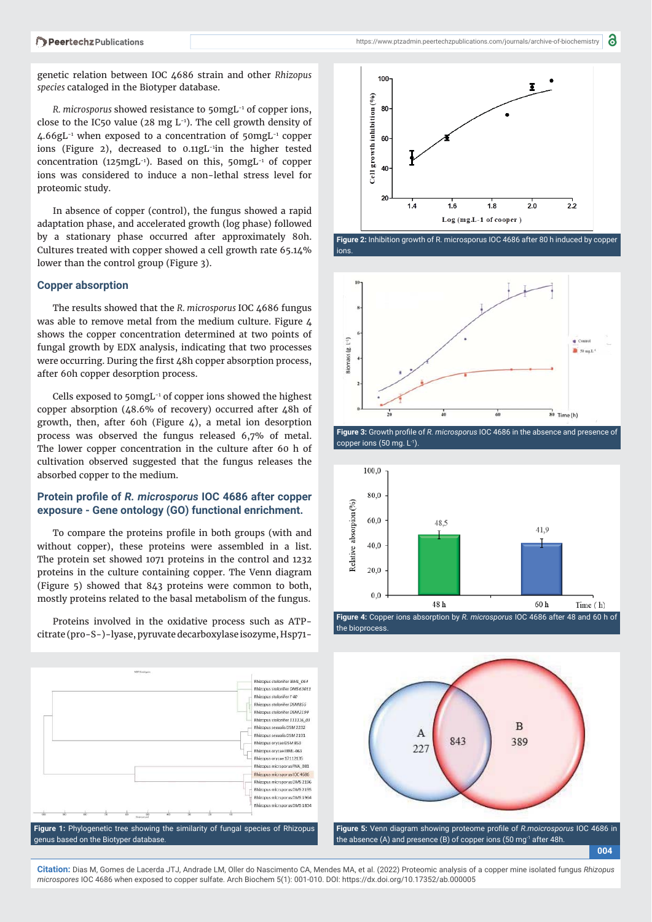genetic relation between IOC 4686 strain and other *Rhizopus species* cataloged in the Biotyper database.

*R. microsporus* showed resistance to 50mgL-1 of copper ions, close to the IC50 value (28 mg  $L^{-1}$ ). The cell growth density of  $4.66$ gL<sup>-1</sup> when exposed to a concentration of  $50$ mgL<sup>-1</sup> copper ions (Figure 2), decreased to 0.11gL-1in the higher tested concentration (125mgL-1). Based on this, 50mgL-1 of copper ions was considered to induce a non-lethal stress level for proteomic study.

In absence of copper (control), the fungus showed a rapid adaptation phase, and accelerated growth (log phase) followed by a stationary phase occurred after approximately 80h. Cultures treated with copper showed a cell growth rate 65.14% lower than the control group (Figure 3).

#### **Copper absorption**

The results showed that the *R. microsporus* IOC 4686 fungus was able to remove metal from the medium culture. Figure 4 shows the copper concentration determined at two points of fungal growth by EDX analysis, indicating that two processes were occurring. During the first 48h copper absorption process, after 60h copper desorption process.

Cells exposed to 50mgL-1 of copper ions showed the highest copper absorption (48.6% of recovery) occurred after 48h of growth, then, after 60h (Figure 4), a metal ion desorption process was observed the fungus released 6,7% of metal. The lower copper concentration in the culture after 60 h of cultivation observed suggested that the fungus releases the absorbed copper to the medium.

#### **Protein profile of** *R. microsporus* **IOC 4686 after copper exposure - Gene ontology (GO) functional enrichment.**

To compare the proteins profile in both groups (with and without copper), these proteins were assembled in a list. The protein set showed 1071 proteins in the control and 1232 proteins in the culture containing copper. The Venn diagram (Figure 5) showed that 843 proteins were common to both, mostly proteins related to the basal metabolism of the fungus.

Proteins involved in the oxidative process such as ATPcitrate (pro-S-)-lyase, pyruvate decarboxylase isozyme, Hsp71-





**Figure 2:** Inhibition growth of R. microsporus IOC 4686 after 80 h induced by copper ions.



copper ions  $(50 \text{ mg. L}^{-1})$ .



the bioprocess.

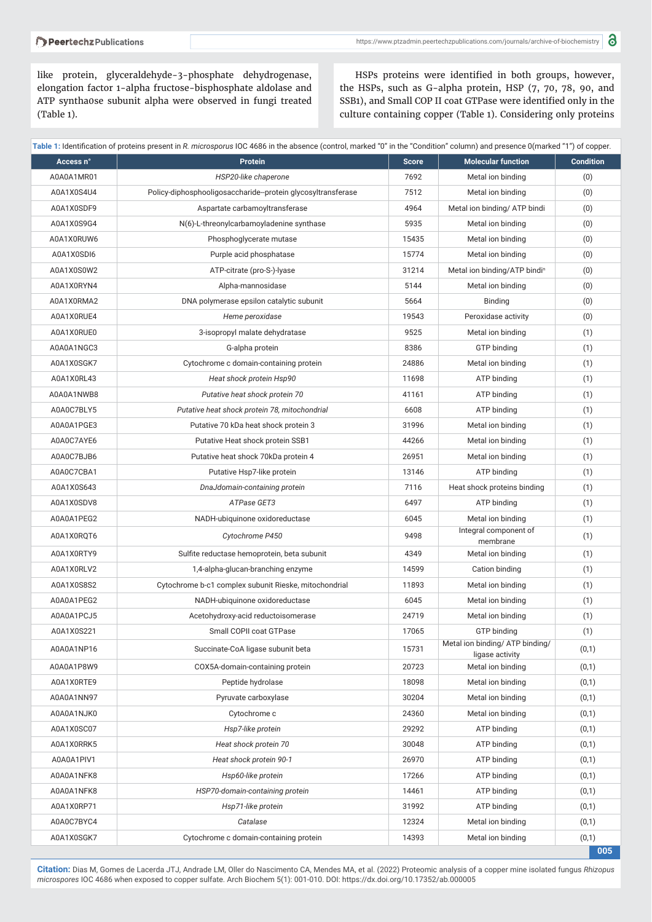#### Peertechz Publications

like protein, glyceraldehyde-3-phosphate dehydrogenase, elongation factor 1-alpha fructose-bisphosphate aldolase and ATP syntha0se subunit alpha were observed in fungi treated (Table 1).

HSPs proteins were identified in both groups, however, the HSPs, such as G-alpha protein, HSP (7, 70, 78, 90, and SSB1), and Small COP II coat GTPase were identified only in the culture containing copper (Table 1). Considering only proteins

|            | Table 1: Identification of proteins present in R. <i>microsporus IOC 4686</i> in the absence (control, marked U in the Condition Column) and presence U(marked T) of Copper. |              |                                                    |                  |
|------------|------------------------------------------------------------------------------------------------------------------------------------------------------------------------------|--------------|----------------------------------------------------|------------------|
| Access n°  | <b>Protein</b>                                                                                                                                                               | <b>Score</b> | <b>Molecular function</b>                          | <b>Condition</b> |
| A0A0A1MR01 | HSP20-like chaperone                                                                                                                                                         | 7692         | Metal ion binding                                  | (0)              |
| A0A1X0S4U4 | Policy-diphosphooligosaccharide-protein glycosyltransferase                                                                                                                  | 7512         | Metal ion binding                                  | (0)              |
| A0A1X0SDF9 | Aspartate carbamoyltransferase                                                                                                                                               | 4964         | Metal ion binding/ ATP bindi                       | (0)              |
| A0A1X0S9G4 | N(6)-L-threonylcarbamoyladenine synthase                                                                                                                                     | 5935         | Metal ion binding                                  | (0)              |
| A0A1X0RUW6 | Phosphoglycerate mutase                                                                                                                                                      | 15435        | Metal ion binding                                  | (0)              |
| A0A1X0SDI6 | Purple acid phosphatase                                                                                                                                                      | 15774        | Metal ion binding                                  | (0)              |
| A0A1X0S0W2 | ATP-citrate (pro-S-)-lyase                                                                                                                                                   | 31214        | Metal ion binding/ATP bindin                       | (0)              |
| A0A1X0RYN4 | Alpha-mannosidase                                                                                                                                                            | 5144         | Metal ion binding                                  | (0)              |
| A0A1X0RMA2 | DNA polymerase epsilon catalytic subunit                                                                                                                                     | 5664         | Binding                                            | (0)              |
| A0A1X0RUE4 | Heme peroxidase                                                                                                                                                              | 19543        | Peroxidase activity                                | (0)              |
| A0A1X0RUE0 | 3-isopropyl malate dehydratase                                                                                                                                               | 9525         | Metal ion binding                                  | (1)              |
| A0A0A1NGC3 | G-alpha protein                                                                                                                                                              | 8386         | GTP binding                                        | (1)              |
| A0A1X0SGK7 | Cytochrome c domain-containing protein                                                                                                                                       | 24886        | Metal ion binding                                  | (1)              |
| A0A1X0RL43 | Heat shock protein Hsp90                                                                                                                                                     | 11698        | ATP binding                                        | (1)              |
| A0A0A1NWB8 | Putative heat shock protein 70                                                                                                                                               | 41161        | ATP binding                                        | (1)              |
| A0A0C7BLY5 | Putative heat shock protein 78, mitochondrial                                                                                                                                | 6608         | ATP binding                                        | (1)              |
| A0A0A1PGE3 | Putative 70 kDa heat shock protein 3                                                                                                                                         | 31996        | Metal ion binding                                  | (1)              |
| A0A0C7AYE6 | Putative Heat shock protein SSB1                                                                                                                                             | 44266        | Metal ion binding                                  | (1)              |
| A0A0C7BJB6 | Putative heat shock 70kDa protein 4                                                                                                                                          | 26951        | Metal ion binding                                  | (1)              |
| A0A0C7CBA1 | Putative Hsp7-like protein                                                                                                                                                   | 13146        | ATP binding                                        | (1)              |
| A0A1X0S643 | DnaJdomain-containing protein                                                                                                                                                | 7116         | Heat shock proteins binding                        | (1)              |
| A0A1X0SDV8 | ATPase GET3                                                                                                                                                                  | 6497         | ATP binding                                        | (1)              |
| A0A0A1PEG2 | NADH-ubiquinone oxidoreductase                                                                                                                                               | 6045         | Metal ion binding                                  | (1)              |
| A0A1X0RQT6 | Cytochrome P450                                                                                                                                                              | 9498         | Integral component of<br>membrane                  | (1)              |
| A0A1X0RTY9 | Sulfite reductase hemoprotein, beta subunit                                                                                                                                  | 4349         | Metal ion binding                                  | (1)              |
| A0A1X0RLV2 | 1,4-alpha-glucan-branching enzyme                                                                                                                                            | 14599        | Cation binding                                     | (1)              |
| A0A1X0S8S2 | Cytochrome b-c1 complex subunit Rieske, mitochondrial                                                                                                                        | 11893        | Metal ion binding                                  | (1)              |
| A0A0A1PEG2 | NADH-ubiquinone oxidoreductase                                                                                                                                               | 6045         | Metal ion binding                                  | (1)              |
| A0A0A1PCJ5 | Acetohydroxy-acid reductoisomerase                                                                                                                                           | 24719        | Metal ion binding                                  | (1)              |
| A0A1X0S221 | Small COPII coat GTPase                                                                                                                                                      | 17065        | GTP binding                                        | (1)              |
| A0A0A1NP16 | Succinate-CoA ligase subunit beta                                                                                                                                            | 15731        | Metal ion binding/ ATP binding/<br>ligase activity | (0,1)            |
| A0A0A1P8W9 | COX5A-domain-containing protein                                                                                                                                              | 20723        | Metal ion binding                                  | (0,1)            |
| A0A1X0RTE9 | Peptide hydrolase                                                                                                                                                            | 18098        | Metal ion binding                                  | (0,1)            |
| A0A0A1NN97 | Pyruvate carboxylase                                                                                                                                                         | 30204        | Metal ion binding                                  | (0,1)            |
| A0A0A1NJK0 | Cytochrome c                                                                                                                                                                 | 24360        | Metal ion binding                                  | (0,1)            |
| A0A1X0SC07 | Hsp7-like protein                                                                                                                                                            | 29292        | ATP binding                                        | (0,1)            |
| A0A1X0RRK5 | Heat shock protein 70                                                                                                                                                        | 30048        | ATP binding                                        | (0,1)            |
| A0A0A1PIV1 | Heat shock protein 90-1                                                                                                                                                      | 26970        | ATP binding                                        | (0,1)            |
| A0A0A1NFK8 | Hsp60-like protein                                                                                                                                                           | 17266        | ATP binding                                        | (0,1)            |
| A0A0A1NFK8 | HSP70-domain-containing protein                                                                                                                                              | 14461        | ATP binding                                        | (0,1)            |
| A0A1X0RP71 | Hsp71-like protein                                                                                                                                                           | 31992        | ATP binding                                        | (0,1)            |
| A0A0C7BYC4 | Catalase                                                                                                                                                                     | 12324        | Metal ion binding                                  | (0,1)            |
| A0A1X0SGK7 | Cytochrome c domain-containing protein                                                                                                                                       | 14393        | Metal ion binding                                  | (0,1)            |
|            |                                                                                                                                                                              |              |                                                    | 005              |

**Table 1:** Identifi cation of proteins present in *R. microsporus* IOC 4686 in the absence (control, marked "0" in the "Condition" column) and presence 0(marked "1") of copper.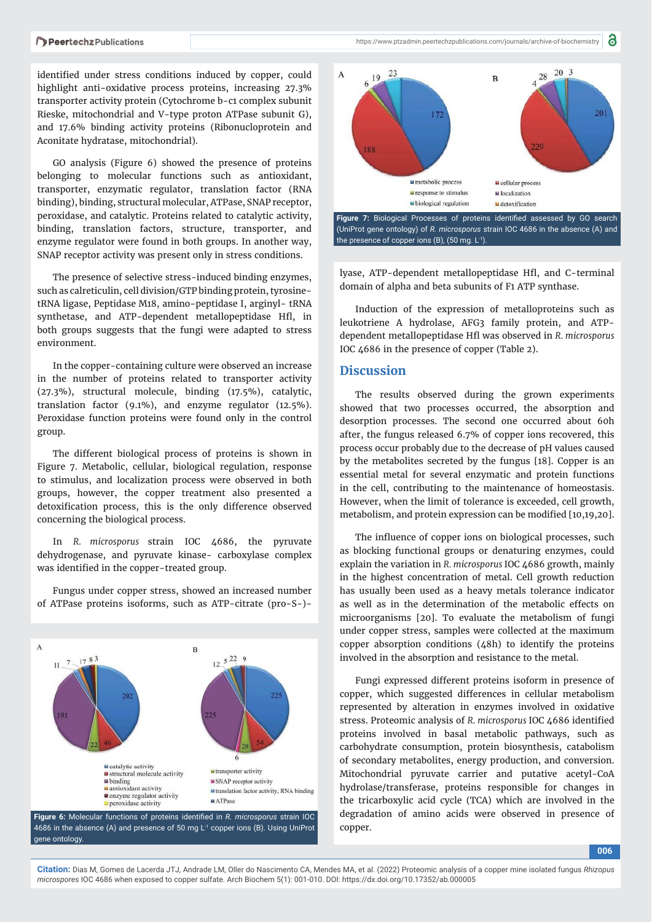#### Peertechz Publications

identified under stress conditions induced by copper, could highlight anti-oxidative process proteins, increasing 27.3% transporter activity protein (Cytochrome b-c1 complex subunit Rieske, mitochondrial and V-type proton ATPase subunit G), and 17.6% binding activity proteins (Ribonucloprotein and Aconitate hydratase, mitochondrial).

GO analysis (Figure 6) showed the presence of proteins belonging to molecular functions such as antioxidant, transporter, enzymatic regulator, translation factor (RNA binding), binding, structural molecular, ATPase, SNAP receptor, peroxidase, and catalytic. Proteins related to catalytic activity, binding, translation factors, structure, transporter, and enzyme regulator were found in both groups. In another way, SNAP receptor activity was present only in stress conditions.

The presence of selective stress-induced binding enzymes, such as calreticulin, cell division/GTP binding protein, tyrosinetRNA ligase, Peptidase M18, amino-peptidase I, arginyl- tRNA synthetase, and ATP-dependent metallopeptidase Hfl, in both groups suggests that the fungi were adapted to stress environment.

In the copper-containing culture were observed an increase in the number of proteins related to transporter activity (27.3%), structural molecule, binding (17.5%), catalytic, translation factor (9.1%), and enzyme regulator (12.5%). Peroxidase function proteins were found only in the control group.

The different biological process of proteins is shown in Figure 7. Metabolic, cellular, biological regulation, response to stimulus, and localization process were observed in both groups, however, the copper treatment also presented a detoxification process, this is the only difference observed concerning the biological process.

In *R. microsporus* strain IOC 4686, the pyruvate dehydrogenase, and pyruvate kinase- carboxylase complex was identified in the copper-treated group.

Fungus under copper stress, showed an increased number of ATPase proteins isoforms, such as ATP-citrate (pro-S-)-



Figure 6: Molecular functions of proteins identified in *R. microsporus* strain IOC 4686 in the absence (A) and presence of 50 mg  $L^1$  copper ions (B). Using UniProt gene ontology.



lyase, ATP-dependent metallopeptidase Hfl, and C-terminal domain of alpha and beta subunits of F1 ATP synthase.

Induction of the expression of metalloproteins such as leukotriene A hydrolase, AFG3 family protein, and ATPdependent metallopeptidase Hfl was observed in *R. microsporus*  IOC 4686 in the presence of copper (Table 2).

#### **Discussion**

The results observed during the grown experiments showed that two processes occurred, the absorption and desorption processes. The second one occurred about 60h after, the fungus released 6.7% of copper ions recovered, this process occur probably due to the decrease of pH values caused by the metabolites secreted by the fungus [18]. Copper is an essential metal for several enzymatic and protein functions in the cell, contributing to the maintenance of homeostasis. However, when the limit of tolerance is exceeded, cell growth, metabolism, and protein expression can be modified [10,19,20].

The influence of copper ions on biological processes, such as blocking functional groups or denaturing enzymes, could explain the variation in *R. microsporus* IOC 4686 growth, mainly in the highest concentration of metal. Cell growth reduction has usually been used as a heavy metals tolerance indicator as well as in the determination of the metabolic effects on microorganisms [20]. To evaluate the metabolism of fungi under copper stress, samples were collected at the maximum copper absorption conditions (48h) to identify the proteins involved in the absorption and resistance to the metal.

Fungi expressed different proteins isoform in presence of copper, which suggested differences in cellular metabolism represented by alteration in enzymes involved in oxidative stress. Proteomic analysis of *R. microsporus* IOC 4686 identified proteins involved in basal metabolic pathways, such as carbohydrate consumption, protein biosynthesis, catabolism of secondary metabolites, energy production, and conversion. Mitochondrial pyruvate carrier and putative acetyl-CoA hydrolase/transferase, proteins responsible for changes in the tricarboxylic acid cycle (TCA) which are involved in the degradation of amino acids were observed in presence of copper.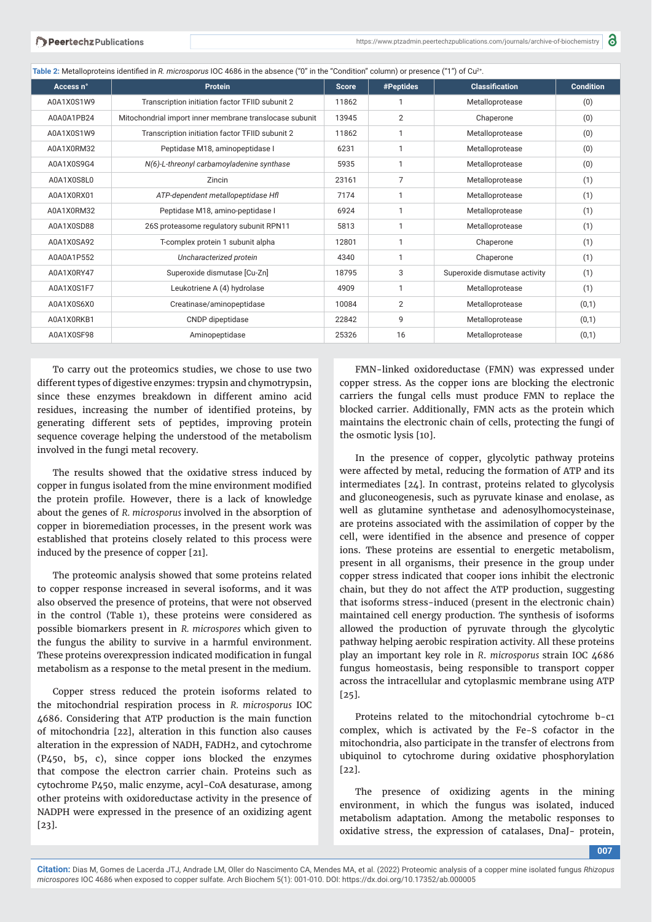| Table 2: Metalloproteins identified in R. microsporus IOC 4686 in the absence ("0" in the "Condition" column) or presence ("1") of Cu <sup>2+</sup> . |  |  |  |  |  |  |
|-------------------------------------------------------------------------------------------------------------------------------------------------------|--|--|--|--|--|--|
|-------------------------------------------------------------------------------------------------------------------------------------------------------|--|--|--|--|--|--|

| Access n°  | <b>Protein</b>                                          | <b>Score</b> | #Peptides      | <b>Classification</b>         | <b>Condition</b> |
|------------|---------------------------------------------------------|--------------|----------------|-------------------------------|------------------|
| A0A1X0S1W9 | Transcription initiation factor TFIID subunit 2         | 11862        |                | Metalloprotease               | (0)              |
| A0A0A1PB24 | Mitochondrial import inner membrane translocase subunit | 13945        | $\overline{2}$ | Chaperone                     | (0)              |
| A0A1X0S1W9 | Transcription initiation factor TFIID subunit 2         | 11862        |                | Metalloprotease               | (0)              |
| A0A1X0RM32 | Peptidase M18, aminopeptidase I                         | 6231         |                | Metalloprotease               | (0)              |
| A0A1X0S9G4 | N(6)-L-threonyl carbamoyladenine synthase               | 5935         |                | Metalloprotease               | (0)              |
| A0A1X0S8L0 | Zincin                                                  | 23161        | $\overline{7}$ | Metalloprotease               | (1)              |
| A0A1X0RX01 | ATP-dependent metallopeptidase Hfl                      | 7174         |                | Metalloprotease               | (1)              |
| A0A1X0RM32 | Peptidase M18, amino-peptidase I                        | 6924         |                | Metalloprotease               | (1)              |
| A0A1X0SD88 | 26S proteasome regulatory subunit RPN11                 | 5813         |                | Metalloprotease               | (1)              |
| A0A1X0SA92 | T-complex protein 1 subunit alpha                       | 12801        |                | Chaperone                     | (1)              |
| A0A0A1P552 | Uncharacterized protein                                 | 4340         |                | Chaperone                     | (1)              |
| A0A1X0RY47 | Superoxide dismutase [Cu-Zn]                            | 18795        | 3              | Superoxide dismutase activity | (1)              |
| A0A1X0S1F7 | Leukotriene A (4) hydrolase                             | 4909         |                | Metalloprotease               | (1)              |
| A0A1X0S6X0 | Creatinase/aminopeptidase                               | 10084        | $\overline{2}$ | Metalloprotease               | (0,1)            |
| A0A1X0RKB1 | CNDP dipeptidase                                        | 22842        | 9              | Metalloprotease               | (0,1)            |
| A0A1X0SF98 | Aminopeptidase                                          | 25326        | 16             | Metalloprotease               | (0,1)            |

To carry out the proteomics studies, we chose to use two different types of digestive enzymes: trypsin and chymotrypsin, since these enzymes breakdown in different amino acid residues, increasing the number of identified proteins, by generating different sets of peptides, improving protein sequence coverage helping the understood of the metabolism involved in the fungi metal recovery.

The results showed that the oxidative stress induced by copper in fungus isolated from the mine environment modified the protein profile. However, there is a lack of knowledge about the genes of *R. microsporus* involved in the absorption of copper in bioremediation processes, in the present work was established that proteins closely related to this process were induced by the presence of copper [21].

The proteomic analysis showed that some proteins related to copper response increased in several isoforms, and it was also observed the presence of proteins, that were not observed in the control (Table 1), these proteins were considered as possible biomarkers present in *R. microspores* which given to the fungus the ability to survive in a harmful environment. These proteins overexpression indicated modification in fungal metabolism as a response to the metal present in the medium.

Copper stress reduced the protein isoforms related to the mitochondrial respiration process in *R. microsporus* IOC 4686. Considering that ATP production is the main function of mitochondria [22], alteration in this function also causes alteration in the expression of NADH, FADH2, and cytochrome (P450, b5, c), since copper ions blocked the enzymes that compose the electron carrier chain. Proteins such as cytochrome P450, malic enzyme, acyl-CoA desaturase, among other proteins with oxidoreductase activity in the presence of NADPH were expressed in the presence of an oxidizing agent [23].

FMN-linked oxidoreductase (FMN) was expressed under copper stress. As the copper ions are blocking the electronic carriers the fungal cells must produce FMN to replace the blocked carrier. Additionally, FMN acts as the protein which maintains the electronic chain of cells, protecting the fungi of the osmotic lysis [10].

In the presence of copper, glycolytic pathway proteins were affected by metal, reducing the formation of ATP and its intermediates [24]. In contrast, proteins related to glycolysis and gluconeogenesis, such as pyruvate kinase and enolase, as well as glutamine synthetase and adenosylhomocysteinase, are proteins associated with the assimilation of copper by the cell, were identified in the absence and presence of copper ions. These proteins are essential to energetic metabolism, present in all organisms, their presence in the group under copper stress indicated that cooper ions inhibit the electronic chain, but they do not affect the ATP production, suggesting that isoforms stress-induced (present in the electronic chain) maintained cell energy production. The synthesis of isoforms allowed the production of pyruvate through the glycolytic pathway helping aerobic respiration activity. All these proteins play an important key role in *R*. *microsporus* strain IOC 4686 fungus homeostasis, being responsible to transport copper across the intracellular and cytoplasmic membrane using ATP [25].

Proteins related to the mitochondrial cytochrome b-c1 complex, which is activated by the Fe-S cofactor in the mitochondria, also participate in the transfer of electrons from ubiquinol to cytochrome during oxidative phosphorylation [22].

The presence of oxidizing agents in the mining environment, in which the fungus was isolated, induced metabolism adaptation. Among the metabolic responses to oxidative stress, the expression of catalases, DnaJ- protein,

**007**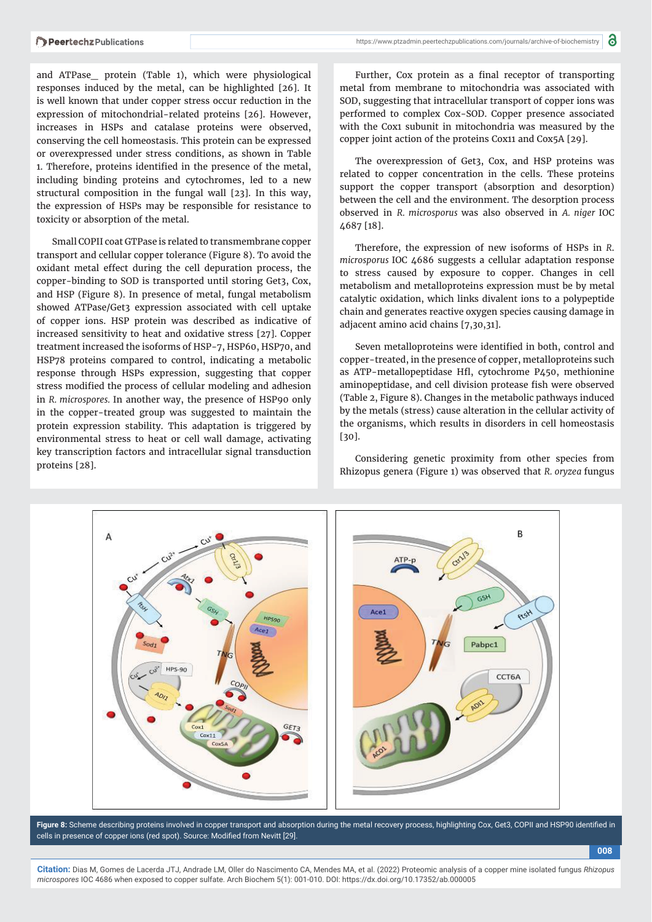toxicity or absorption of the metal.

and ATPase\_ protein (Table 1), which were physiological responses induced by the metal, can be highlighted [26]. It is well known that under copper stress occur reduction in the expression of mitochondrial-related proteins [26]. However, increases in HSPs and catalase proteins were observed, conserving the cell homeostasis. This protein can be expressed or overexpressed under stress conditions, as shown in Table 1. Therefore, proteins identified in the presence of the metal, including binding proteins and cytochromes, led to a new structural composition in the fungal wall [23]. In this way, the expression of HSPs may be responsible for resistance to

Small COPII coat GTPase is related to transmembrane copper transport and cellular copper tolerance (Figure 8). To avoid the oxidant metal effect during the cell depuration process, the copper-binding to SOD is transported until storing Get3, Cox, and HSP (Figure 8). In presence of metal, fungal metabolism showed ATPase/Get3 expression associated with cell uptake of copper ions. HSP protein was described as indicative of increased sensitivity to heat and oxidative stress [27]. Copper treatment increased the isoforms of HSP-7, HSP60, HSP70, and HSP78 proteins compared to control, indicating a metabolic response through HSPs expression, suggesting that copper stress modified the process of cellular modeling and adhesion in *R. microspores.* In another way, the presence of HSP90 only in the copper-treated group was suggested to maintain the protein expression stability. This adaptation is triggered by environmental stress to heat or cell wall damage, activating key transcription factors and intracellular signal transduction proteins [28].

https://www.ptzadmin.peertechzpublications.com/journals/archive-of-biochemistry

Further, Cox protein as a final receptor of transporting metal from membrane to mitochondria was associated with SOD, suggesting that intracellular transport of copper ions was performed to complex Cox-SOD. Copper presence associated with the Cox1 subunit in mitochondria was measured by the copper joint action of the proteins Cox11 and Cox5A [29].

The overexpression of Get3, Cox, and HSP proteins was related to copper concentration in the cells. These proteins support the copper transport (absorption and desorption) between the cell and the environment. The desorption process observed in *R. microsporus* was also observed in *A. niger* IOC 4687 [18].

Therefore, the expression of new isoforms of HSPs in *R*. *microsporus* IOC 4686 suggests a cellular adaptation response to stress caused by exposure to copper. Changes in cell metabolism and metalloproteins expression must be by metal catalytic oxidation, which links divalent ions to a polypeptide chain and generates reactive oxygen species causing damage in adjacent amino acid chains [7,30,31].

Seven metalloproteins were identified in both, control and copper-treated, in the presence of copper, metalloproteins such as ATP-metallopeptidase Hfl, cytochrome P450, methionine aminopeptidase, and cell division protease fish were observed (Table 2, Figure 8). Changes in the metabolic pathways induced by the metals (stress) cause alteration in the cellular activity of the organisms, which results in disorders in cell homeostasis  $[30]$ 

Considering genetic proximity from other species from Rhizopus genera (Figure 1) was observed that *R. oryzea* fungus

**008**



Figure 8: Scheme describing proteins involved in copper transport and absorption during the metal recovery process, highlighting Cox, Get3, COPII and HSP90 identified in cells in presence of copper ions (red spot). Source: Modified from Nevitt [29].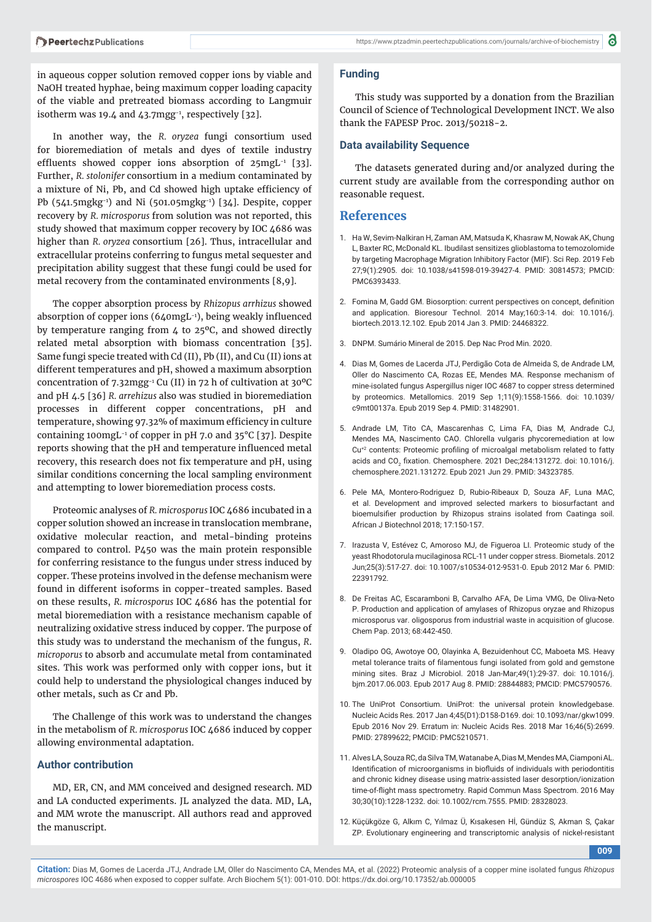in aqueous copper solution removed copper ions by viable and NaOH treated hyphae, being maximum copper loading capacity of the viable and pretreated biomass according to Langmuir isotherm was 19.4 and  $43.7$ mgg<sup>-1</sup>, respectively [32].

In another way, the *R. oryzea* fungi consortium used for bioremediation of metals and dyes of textile industry effluents showed copper ions absorption of  $25$ mgL<sup>-1</sup> [33]. Further, *R. stolonifer* consortium in a medium contaminated by a mixture of Ni, Pb, and Cd showed high uptake efficiency of Pb (541.5mgkg-1) and Ni (501.05mgkg-1) [34]. Despite, copper recovery by *R. microsporus* from solution was not reported, this study showed that maximum copper recovery by IOC 4686 was higher than *R. oryzea* consortium [26]. Thus, intracellular and extracellular proteins conferring to fungus metal sequester and precipitation ability suggest that these fungi could be used for metal recovery from the contaminated environments [8,9].

The copper absorption process by *Rhizopus arrhizus* showed absorption of copper ions (640mgL-1), being weakly influenced by temperature ranging from 4 to 25ºC, and showed directly related metal absorption with biomass concentration [35]. Same fungi specie treated with Cd (II), Pb (II), and Cu (II) ions at different temperatures and pH, showed a maximum absorption concentration of 7.32mgg-1 Cu (II) in 72 h of cultivation at 30ºC and pH 4.5 [36] *R. arrehizus* also was studied in bioremediation processes in different copper concentrations, pH and temperature, showing 97.32% of maximum efficiency in culture containing 100mgL-1 of copper in pH 7.0 and 35°C [37]. Despite reports showing that the pH and temperature influenced metal recovery, this research does not fix temperature and pH, using similar conditions concerning the local sampling environment and attempting to lower bioremediation process costs.

Proteomic analyses of *R. microsporus* IOC 4686 incubated in a copper solution showed an increase in translocation membrane, oxidative molecular reaction, and metal-binding proteins compared to control. P450 was the main protein responsible for conferring resistance to the fungus under stress induced by copper. These proteins involved in the defense mechanism were found in different isoforms in copper-treated samples. Based on these results, *R. microsporus* IOC 4686 has the potential for metal bioremediation with a resistance mechanism capable of neutralizing oxidative stress induced by copper. The purpose of this study was to understand the mechanism of the fungus, *R*. *microporus* to absorb and accumulate metal from contaminated sites. This work was performed only with copper ions, but it could help to understand the physiological changes induced by other metals, such as Cr and Pb.

The Challenge of this work was to understand the changes in the metabolism of *R. microsporus* IOC 4686 induced by copper allowing environmental adaptation.

#### **Author contribution**

MD, ER, CN, and MM conceived and designed research. MD and LA conducted experiments. JL analyzed the data. MD, LA, and MM wrote the manuscript. All authors read and approved the manuscript.

#### **Funding**

This study was supported by a donation from the Brazilian Council of Science of Technological Development INCT. We also thank the FAPESP Proc. 2013/50218-2.

#### **Data availability Sequence**

The datasets generated during and/or analyzed during the current study are available from the corresponding author on reasonable request.

#### **References**

- 1. Ha W, Sevim-Nalkiran H, Zaman AM, Matsuda K, Khasraw M, Nowak AK, Chung L, Baxter RC, McDonald KL. Ibudilast sensitizes glioblastoma to temozolomide by targeting Macrophage Migration Inhibitory Factor (MIF). Sci Rep. 2019 Feb 27;9(1):2905. doi: 10.1038/s41598-019-39427-4. PMID: 30814573; PMCID: PMC6393433.
- 2. Fomina M, Gadd GM, Biosorption: current perspectives on concept, definition and application. Bioresour Technol. 2014 May;160:3-14. doi: 10.1016/j. biortech.2013.12.102. Epub 2014 Jan 3. PMID: 24468322.
- 3. DNPM. Sumário Mineral de 2015. Dep Nac Prod Min. 2020.
- 4. Dias M, Gomes de Lacerda JTJ, Perdigão Cota de Almeida S, de Andrade LM, Oller do Nascimento CA, Rozas EE, Mendes MA. Response mechanism of mine-isolated fungus Aspergillus niger IOC 4687 to copper stress determined by proteomics. Metallomics. 2019 Sep 1;11(9):1558-1566. doi: 10.1039/ c9mt00137a. Epub 2019 Sep 4. PMID: 31482901.
- 5. Andrade LM, Tito CA, Mascarenhas C, Lima FA, Dias M, Andrade CJ, Mendes MA, Nascimento CAO. Chlorella vulgaris phycoremediation at low Cu<sup>+2</sup> contents: Proteomic profiling of microalgal metabolism related to fatty acids and CO<sub>2</sub> fixation. Chemosphere. 2021 Dec;284:131272. doi: 10.1016/j. chemosphere.2021.131272. Epub 2021 Jun 29. PMID: 34323785.
- 6. Pele MA, Montero-Rodriguez D, Rubio-Ribeaux D, Souza AF, Luna MAC, et al. Development and improved selected markers to biosurfactant and bioemulsifier production by Rhizopus strains isolated from Caatinga soil. African J Biotechnol 2018; 17:150-157.
- 7. Irazusta V, Estévez C, Amoroso MJ, de Figueroa LI. Proteomic study of the yeast Rhodotorula mucilaginosa RCL-11 under copper stress. Biometals. 2012 Jun;25(3):517-27. doi: 10.1007/s10534-012-9531-0. Epub 2012 Mar 6. PMID: 22391792.
- 8. De Freitas AC, Escaramboni B, Carvalho AFA, De Lima VMG, De Oliva-Neto P. Production and application of amylases of Rhizopus oryzae and Rhizopus microsporus var. oligosporus from industrial waste in acquisition of glucose. Chem Pap. 2013; 68:442-450.
- 9. Oladipo OG, Awotoye OO, Olayinka A, Bezuidenhout CC, Maboeta MS. Heavy metal tolerance traits of filamentous fungi isolated from gold and gemstone mining sites. Braz J Microbiol. 2018 Jan-Mar;49(1):29-37. doi: 10.1016/j. bjm.2017.06.003. Epub 2017 Aug 8. PMID: 28844883; PMCID: PMC5790576.
- 10. The UniProt Consortium. UniProt: the universal protein knowledgebase. Nucleic Acids Res. 2017 Jan 4;45(D1):D158-D169. doi: 10.1093/nar/gkw1099. Epub 2016 Nov 29. Erratum in: Nucleic Acids Res. 2018 Mar 16;46(5):2699. PMID: 27899622; PMCID: PMC5210571.
- 11. Alves LA, Souza RC, da Silva TM, Watanabe A, Dias M, Mendes MA, Ciamponi AL. Identification of microorganisms in biofluids of individuals with periodontitis and chronic kidney disease using matrix-assisted laser desorption/ionization time-of-flight mass spectrometry. Rapid Commun Mass Spectrom. 2016 May 30;30(10):1228-1232. doi: 10.1002/rcm.7555. PMID: 28328023.
- 12. Küçükgöze G, Alkım C, Yılmaz Ü, Kısakesen Hİ, Gündüz S, Akman S, Çakar ZP. Evolutionary engineering and transcriptomic analysis of nickel-resistant

**009**